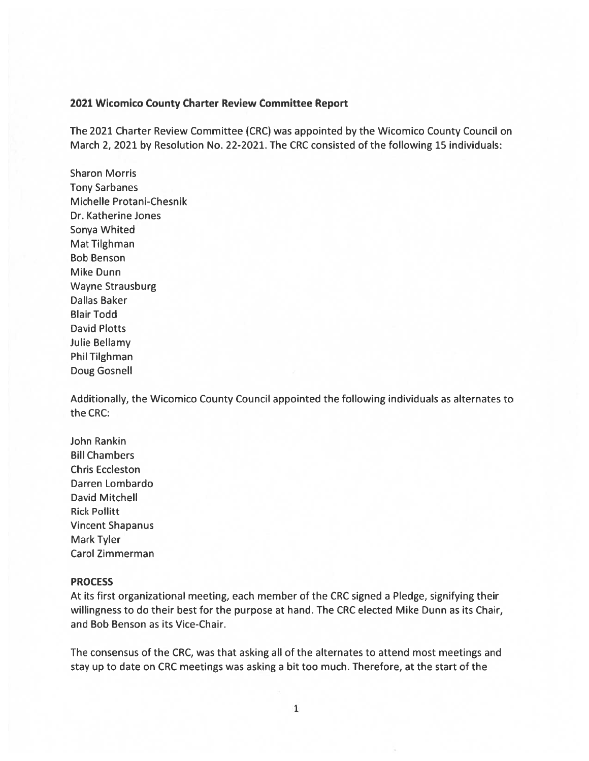#### 2021 Wicomico County Charter Review Committee Report

The 2021 Charter Review Committee (CRC) was appointed by the Wicomico County Council on March 2, 2021 by Resolution No. 22-2021. The CRC consisted of the following 15 individuals:

Sharon Morris Tony Sarbanes Michelle Protani-Chesnik Dr. Katherine Jones Sonya Whited Mat Tilghman Bob Benson Mike Dunn Wayne Strausburg Dallas Baker Blair Todd David Plotts Julie Bellamy Phil Tilghman Doug Gosnell

Additionally, the Wicomico County Council appointed the following individuals as alternates to the CRC:

John Rankin Bill Chambers Chris Eccleston Darren Lombardo David Mitchell Rick Pollitt Vincent Shapanus Mark Tyler Carol Zimmerman

## PROCESS

At its first organizational meeting, each member of the CRC signed <sup>a</sup> Pledge, signifying their willingness to do their best for the purpose at hand. The CRC elected Mike Dunn as its Chair, and Bob Benson as its Vice-Chair.

The consensus of the CRC, was that asking all of the alternates to attend most meetings and stay up to date on CRC meetings was asking <sup>a</sup> bit too much. Therefore, at the start of the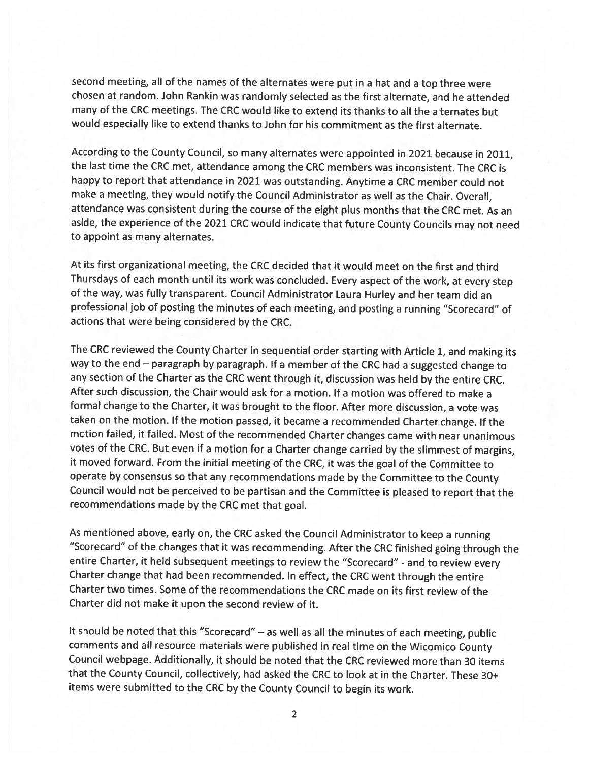second meeting, all of the names of the alternates were put in <sup>a</sup> hat and <sup>a</sup> top three were chosen at random. John Rankin was randomly selected as the first alternate, and he attended many of the CRC meetings. The CRC would like to extend its thanks to all the alternates but would especially like to extend thanks to John for his commitment as the first alternate.

According to the County Council, so many alternates were appointed in <sup>2021</sup> because in 2011, the last time the CRC met, attendance among the CRC members was inconsistent. The CRC is happy to report that attendance in <sup>2021</sup> was outstanding. Anytime <sup>a</sup> CRC member could not make <sup>a</sup> meeting, they would notify the Council Administrator as well as the Chair. Overall, attendance was consistent during the course of the eight <sup>p</sup>lus months that the CRC met. As an aside, the experience of the <sup>2021</sup> CRC would indicate that future County Councils may not need to appoint as many alternates.

At its first organizational meeting, the CRC decided that it would meet on the first and third Thursdays of each month until its work was concluded. Every aspect of the work, at every step of the way, was fully transparent. Council Administrator Laura Hurley and her team did an professional job of posting the minutes of each meeting, and posting <sup>a</sup> running "Scorecard" of actions that were being considered by the CRC.

The CRC reviewed the County Charter in sequential order starting with Article 1, and making its way to the end — paragraph by paragraph. If <sup>a</sup> member of the CRC had <sup>a</sup> suggested change to any section of the Charter as the CRC went through it, discussion was held by the entire CRC. After such discussion, the Chair would ask for <sup>a</sup> motion. If <sup>a</sup> motion was offered to make <sup>a</sup> formal change to the Charter, it was brought to the floor. After more discussion, <sup>a</sup> vote was taken on the motion. If the motion passed, it became <sup>a</sup> recommended Charter change. If the motion failed, it failed. Most of the recommended Charter changes came with near unanimous votes of the CRC. But even if <sup>a</sup> motion for <sup>a</sup> Charter change carried by the slimmest of margins, it moved forward. From the initial meeting of the CRC, it was the goa<sup>l</sup> of the Committee to operate by consensus so that any recommendations made by the Committee to the County Council would not be perceived to be partisan and the Committee is <sup>p</sup>leased to report that the recommendations made by the CRC met that goal.

As mentioned above, early on, the CRC asked the Council Administrator to keep <sup>a</sup> running "Scorecard" of the changes that it was recommending. After the CRC finished going through the entire Charter, it held subsequent meetings to review the "Scorecard" - and to review every Charter change that had been recommended. In effect, the CRC went through the entire Charter two times. Some of the recommendations the CRC made on its first review of the Charter did not make it upon the second review of it.

It should be noted that this "Scorecard" — as well as all the minutes of each meeting, public comments and all resource materials were published in real time on the Wicomico County Council webpage. Additionally, it should be noted that the CRC reviewed more than 30 items that the County Council, collectively, had asked the CRC to look at in the Charter. These 30+ items were submitted to the CRC by the County Council to begin its work.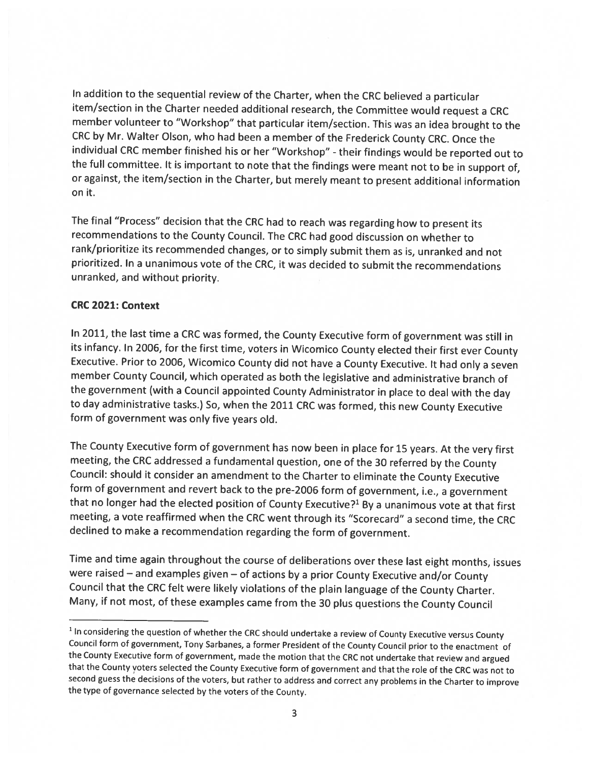In addition to the sequential review of the Charter, when the CRC believed <sup>a</sup> particular item/section in the Charter needed additional research, the Committee would request <sup>a</sup> CRC member volunteer to "Workshop" that particular item/section. This was an idea brought to the CRC by Mr. Walter Olson, who had been <sup>a</sup> member of the Frederick County CRC. Once the individual CRC member finished his or her "Workshop" - their findings would be reported out to the full committee. It is important to note that the findings were meant not to be in support of, or against, the item/section in the Charter, but merely meant to present additional information on it.

The final "Process" decision that the CRC had to reach was regarding how to present its recommendations to the County Council. The CRC had good discussion on whether to rank/prioritize its recommended changes, or to simply submit them as is, unranked and not prioritized. In <sup>a</sup> unanimous vote of the CRC, it was decided to submit the recommendations unranked, and without priority.

# CRC 2021: Context

In 2011, the last time <sup>a</sup> CRC was formed, the County Executive form of government was still in its infancy. In 2006, for the first time, voters in Wicomico County elected their first ever County Executive. Prior to 2006, Wicomico County did not have <sup>a</sup> County Executive. It had only <sup>a</sup> seven member County Council, which operated as both the legislative and administrative branch of the government (with <sup>a</sup> Council appointed County Administrator in <sup>p</sup>lace to deal with the day to day administrative tasks.) So, when the <sup>2011</sup> CRC was formed, this new County Executive form of government was only five years old.

The County Executive form of government has now been in <sup>p</sup>lace for <sup>15</sup> years. At the very first meeting, the CRC addressed <sup>a</sup> fundamental question, one of the <sup>30</sup> referred by the County Council: should it consider an amendment to the Charter to eliminate the County Executive form of government and revert back to the pre-2006 form of government, i.e., <sup>a</sup> government that no longer had the elected position of County Executive?<sup>1</sup> By a unanimous vote at that first meeting, <sup>a</sup> vote reaffirmed when the CRC went through its "Scorecard" <sup>a</sup> second time, the CRC declined to make <sup>a</sup> recommendation regarding the form of government.

Time and time again throughout the course of deliberations over these last eight months, issues were raised — and examples <sup>g</sup>iven — of actions by <sup>a</sup> prior County Executive and/or County Council that the CRC felt were likely violations of the <sup>p</sup>lain language of the County Charter. Many, if not most, of these examples came from the <sup>30</sup> <sup>p</sup>lus questions the County Council

<sup>&</sup>lt;sup>1</sup> In considering the question of whether the CRC should undertake a review of County Executive versus County council form of government, Tony Sarbanes, <sup>a</sup> former President of the county council prior to the enactment of the County Executive form of government, made the motion that the CRC not undertake that review and argued that the County voters selected the County Executive form of government and that the role of the CRC was not to second guess the decisions of the voters, but rather to address and correct any problems in the Charter to improve the type of governance selected by the voters of the County.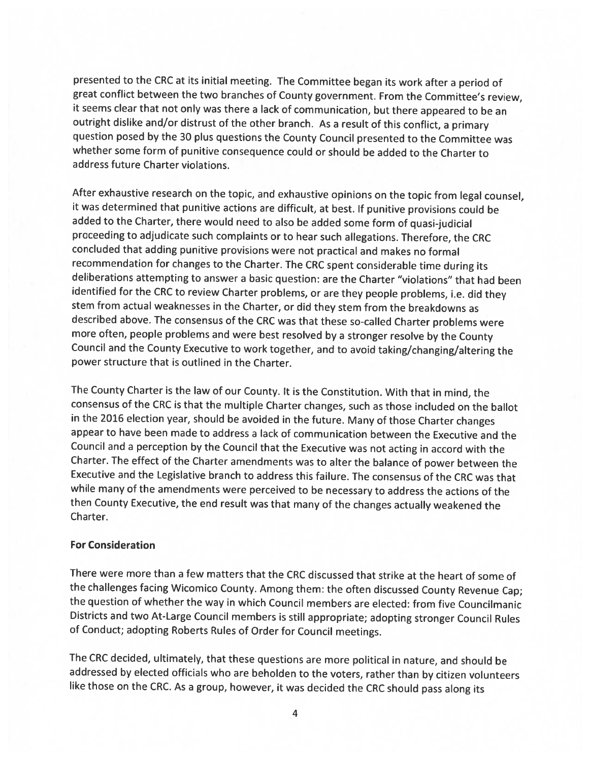presented to the CRC at its initial meeting. The Committee began its work after <sup>a</sup> period of great conflict between the two branches of County government. From the Committee's review, it seems clear that not only was there <sup>a</sup> lack of communication, but there appeared to be an outright dislike and/or distrust of the other branch. As <sup>a</sup> result of this conflict, <sup>a</sup> primary question posed by the <sup>30</sup> <sup>p</sup>lus questions the County Council presented to the Committee was whether some form of punitive consequence could or should be added to the Charter to address future Charter violations.

After exhaustive research on the topic, and exhaustive opinions on the topic from legal counsel, it was determined that punitive actions are difficult, at best. If punitive provisions could be added to the Charter, there would need to also be added some form of quasi-judicial proceeding to adjudicate such complaints or to hear such allegations. Therefore, the CRC concluded that adding punitive provisions were not practical and makes no formal recommendation for changes to the Charter. The CRC spent considerable time during its deliberations attempting to answer <sup>a</sup> basic question: are the Charter "violations" that had been identified for the CRC to review Charter problems, or are they people problems, i.e. did they stem from actual weaknesses in the Charter, or did they stem from the breakdowns as described above. The consensus of the CRC was that these so-called Charter problems were more often, people problems and were best resolved by <sup>a</sup> stronger resolve by the County Council and the County Executive to work together, and to avoid taking/changing/altering the power structure that is outlined in the Charter.

The County Charter is the law of our County. It is the Constitution. With that in mind, the consensus of the CRC is that the multiple Charter changes, such as those included on the ballot in the <sup>2016</sup> election year, should be avoided in the future. Many of those Charter changes appear to have been made to address <sup>a</sup> lack of communication between the Executive and the Council and <sup>a</sup> perception by the Council that the Executive was not acting in accord with the Charter. The effect of the Charter amendments was to alter the balance of power between the Executive and the Legislative branch to address this failure. The consensus of the CRC was that while many of the amendments were perceived to be necessary to address the actions of the then County Executive, the end result was that many of the changes actually weakened the Charter.

#### For Consideration

There were more than <sup>a</sup> few matters that the CRC discussed that strike at the heart of some of the challenges facing Wicomico County. Among them: the often discussed County Revenue Cap; the question of whether the way in which Council members are elected: from five Councilmanic Districts and two At-Large Council members is still appropriate; adopting stronger Council Rules of Conduct; adopting Roberts Rules of Order for Council meetings.

The CRC decided, ultimately, that these questions are more political in nature, and should be addressed by elected officials who are beholden to the voters, rather than by citizen volunteers like those on the CRC. As <sup>a</sup> group, however, it was decided the CRC should pass along its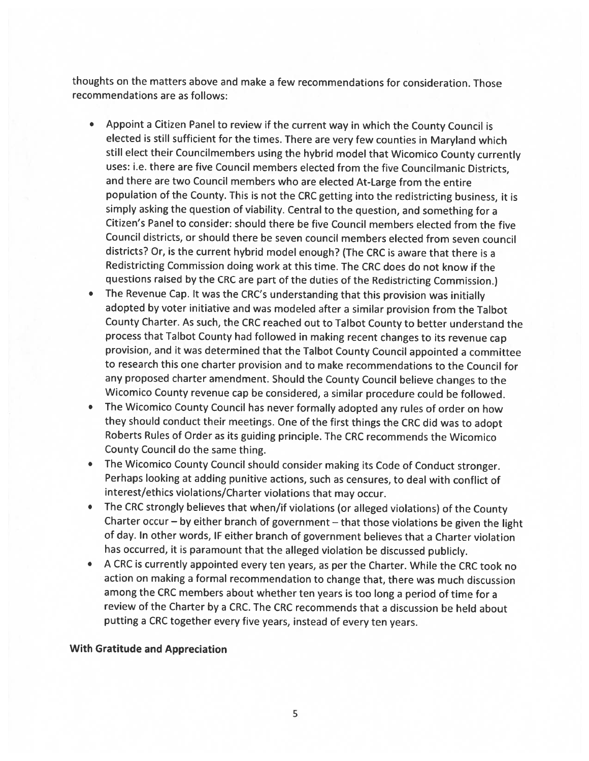thoughts on the matters above and make <sup>a</sup> few recommendations for consideration. Those recommendations are as follows:

- Appoint <sup>a</sup> Citizen Panel to review if the current way in which the County Council is elected is still sufficient for the times. There are very few counties in Maryland which still elect their Councilmembers using the hybrid model that Wicomico County currently uses: i.e. there are five Council members elected from the five Councilmanic Districts, and there are two Council members who are elected At-Large from the entire population of the County. This is not the CRC getting into the redistricting business, it is simply asking the question of viability. Central to the question, and something for <sup>a</sup> Citizen's Panel to consider: should there be five Council members elected from the five Council districts, or should there be seven council members elected from seven council districts? Or, is the current hybrid model enough? (The CRC is aware that there is <sup>a</sup> Redistricting Commission doing work at this time. The CRC does do not know if the questions raised by the CRC are part of the duties of the Redistricting Commission.)
- The Revenue Cap. It was the CRC's understanding that this provision was initially adopted by voter initiative and was modeled after <sup>a</sup> similar provision from the Talbot County Charter. As such, the CRC reached out to Talbot County to better understand the process that Talbot County had followed in making recent changes to its revenue cap provision, and it was determined that the Talbot County Council appointed <sup>a</sup> committee to research this one charter provision and to make recommendations to the Council for any proposed charter amendment. Should the County Council believe changes to the Wicomico County revenue cap be considered, <sup>a</sup> similar procedure could be followed.
- The Wicomico County Council has never formally adopted any rules of order on how they should conduct their meetings. One of the first things the CRC did was to adopt Roberts Rules of Order as its guiding principle. The CRC recommends the Wicomico County Council do the same thing.
- The Wicomico County Council should consider making its Code of Conduct stronger. Perhaps looking at adding punitive actions, such as censures, to deal with conflict of interest/ethics violations/Charter violations that may occur.
- The CRC strongly believes that when/if violations (or alleged violations) of the County Charter occur — by either branch of government — that those violations be <sup>g</sup>iven the light of day. In other words, IF either branch of government believes that <sup>a</sup> Charter violation has occurred, it is paramount that the alleged violation be discussed publicly.
- <sup>A</sup> CRC is currently appointed every ten years, as per the Charter. While the CRC took no action on making <sup>a</sup> formal recommendation to change that, there was much discussion among the CRC members about whether ten years is too long <sup>a</sup> period of time for <sup>a</sup> review of the Charter by <sup>a</sup> CRC. The CRC recommends that <sup>a</sup> discussion be held about putting <sup>a</sup> CRC together every five years, instead of every ten years.

#### With Gratitude and Appreciation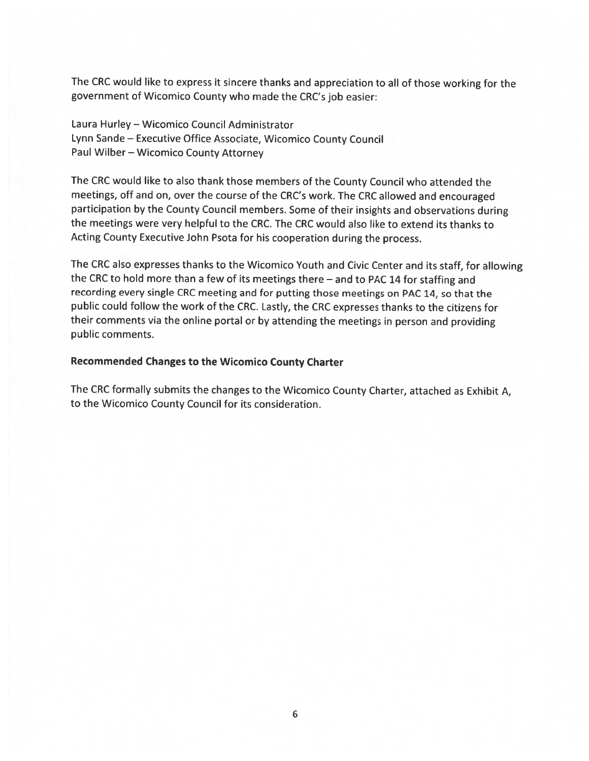The CRC would like to express it sincere thanks and appreciation to all of those working for the governmen<sup>t</sup> of Wicomico County who made the CRC's job easier:

Laura Hurley — Wicomico Council Administrator Lynn Sande — Executive Office Associate, Wicomico County Council Paul Wilber — Wicomico County Attorney

The CRC would like to also thank those members of the County Council who attended the meetings, off and on, over the course of the CRC's work. The CRC allowed and encourage<sup>d</sup> participation by the County Council members. Some of their insights and observations during the meetings were very helpful to the CRC. The CRC would also like to extend its thanks to Acting County Executive John Psota for his cooperation during the process.

The CRC also expresses thanks to the Wicomico Youth and Civic Center and its staff, for allowing the CRC to hold more than <sup>a</sup> few of its meetings there — and to PAC <sup>14</sup> for staffing and recording every single CRC meeting and for putting those meetings on PAC 14, so that the public could follow the work of the CRC. Lastly, the CRC expresses thanks to the citizens for their comments via the online portal or by attending the meetings in person and providing public comments.

### Recommended Changes to the Wicomico County Charter

The CRC formally submits the changes to the Wicomico County Charter, attached as Exhibit A, to the Wicomico County Council for its consideration.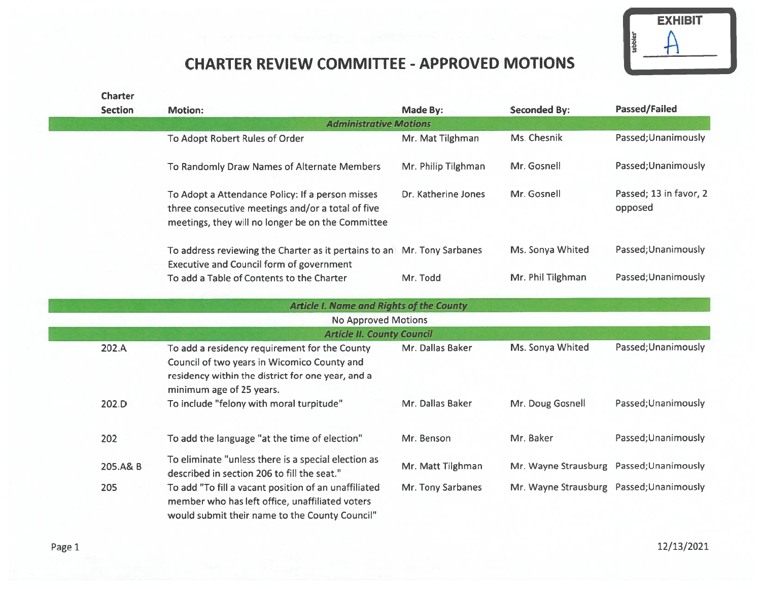

# CHARTER REVIEW COMMITTEE -APPROVED MOTIONS

| <b>Charter</b> |                                                                                                                                                                               |                     |                                          |                                   |
|----------------|-------------------------------------------------------------------------------------------------------------------------------------------------------------------------------|---------------------|------------------------------------------|-----------------------------------|
| <b>Section</b> | <b>Motion:</b>                                                                                                                                                                | Made By:            | <b>Seconded By:</b>                      | <b>Passed/Failed</b>              |
|                | <b>Administrative Motions</b>                                                                                                                                                 |                     |                                          |                                   |
|                | To Adopt Robert Rules of Order                                                                                                                                                | Mr. Mat Tilghman    | Ms. Chesnik                              | Passed; Unanimously               |
|                | To Randomly Draw Names of Alternate Members                                                                                                                                   | Mr. Philip Tilghman | Mr. Gosnell                              | Passed; Unanimously               |
|                | To Adopt a Attendance Policy: If a person misses<br>three consecutive meetings and/or a total of five<br>meetings, they will no longer be on the Committee                    | Dr. Katherine Jones | Mr. Gosnell                              | Passed; 13 in favor, 2<br>opposed |
|                | To address reviewing the Charter as it pertains to an Mr. Tony Sarbanes<br><b>Executive and Council form of government</b>                                                    |                     | Ms. Sonya Whited                         | Passed; Unanimously               |
|                | To add a Table of Contents to the Charter                                                                                                                                     | Mr. Todd            | Mr. Phil Tilghman                        | Passed; Unanimously               |
|                | <b>Article I. Name and Rights of the County</b>                                                                                                                               |                     |                                          |                                   |
|                | <b>No Approved Motions</b>                                                                                                                                                    |                     |                                          |                                   |
|                | <b>Article II. County Council</b>                                                                                                                                             |                     |                                          |                                   |
| 202.A          | To add a residency requirement for the County<br>Council of two years in Wicomico County and<br>residency within the district for one year, and a<br>minimum age of 25 years. | Mr. Dallas Baker    | Ms. Sonya Whited                         | Passed; Unanimously               |
| 202.D          | To include "felony with moral turpitude"                                                                                                                                      | Mr. Dallas Baker    | Mr. Doug Gosnell                         | Passed; Unanimously               |
| 202            | To add the language "at the time of election"                                                                                                                                 | Mr. Benson          | Mr. Baker                                | Passed; Unanimously               |
| 205.A& B       | To eliminate "unless there is a special election as<br>described in section 206 to fill the seat."                                                                            | Mr. Matt Tilghman   | Mr. Wayne Strausburg Passed; Unanimously |                                   |
| 205            | To add "To fill a vacant position of an unaffiliated<br>member who has left office, unaffiliated voters<br>would submit their name to the County Council"                     | Mr. Tony Sarbanes   | Mr. Wayne Strausburg Passed; Unanimously |                                   |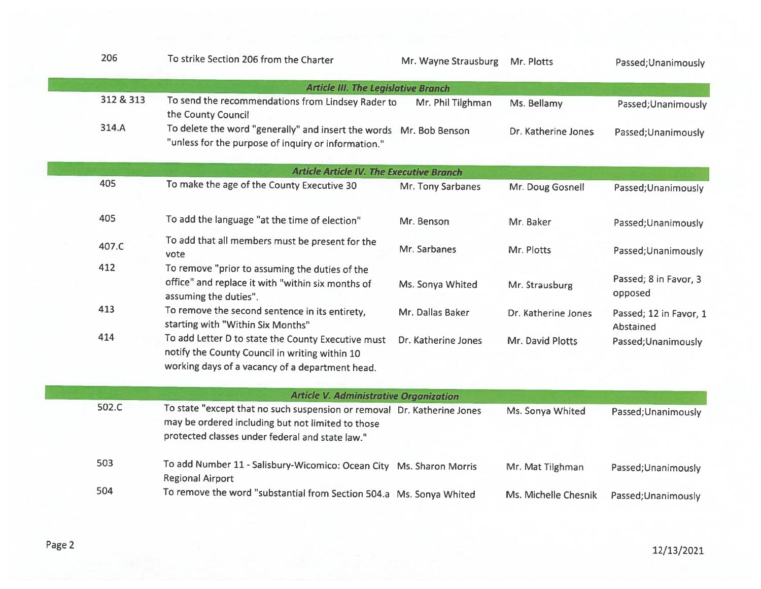| 206       | To strike Section 206 from the Charter                                                                                                                                          | Mr. Wayne Strausburg | Mr. Plotts           | Passed; Unanimously                 |
|-----------|---------------------------------------------------------------------------------------------------------------------------------------------------------------------------------|----------------------|----------------------|-------------------------------------|
|           | <b>Article III. The Legislative Branch</b>                                                                                                                                      |                      |                      |                                     |
| 312 & 313 | To send the recommendations from Lindsey Rader to<br>the County Council                                                                                                         | Mr. Phil Tilghman    | Ms. Bellamy          | Passed; Unanimously                 |
| 314.A     | To delete the word "generally" and insert the words Mr. Bob Benson<br>"unless for the purpose of inquiry or information."                                                       |                      | Dr. Katherine Jones  | Passed; Unanimously                 |
|           | <b>Article Article IV. The Executive Branch</b>                                                                                                                                 |                      |                      |                                     |
| 405       | To make the age of the County Executive 30                                                                                                                                      | Mr. Tony Sarbanes    | Mr. Doug Gosnell     | Passed; Unanimously                 |
| 405       | To add the language "at the time of election"                                                                                                                                   | Mr. Benson           | Mr. Baker            | Passed; Unanimously                 |
| 407.C     | To add that all members must be present for the<br>vote                                                                                                                         | Mr. Sarbanes         | Mr. Plotts           | Passed; Unanimously                 |
| 412       | To remove "prior to assuming the duties of the<br>office" and replace it with "within six months of<br>assuming the duties".                                                    | Ms. Sonya Whited     | Mr. Strausburg       | Passed; 8 in Favor, 3<br>opposed    |
| 413       | To remove the second sentence in its entirety,<br>starting with "Within Six Months"                                                                                             | Mr. Dallas Baker     | Dr. Katherine Jones  | Passed; 12 in Favor, 1<br>Abstained |
| 414       | To add Letter D to state the County Executive must<br>notify the County Council in writing within 10<br>working days of a vacancy of a department head.                         | Dr. Katherine Jones  | Mr. David Plotts     | Passed; Unanimously                 |
|           | <b>Article V. Administrative Organization</b>                                                                                                                                   |                      |                      |                                     |
| 502.C     | To state "except that no such suspension or removal Dr. Katherine Jones<br>may be ordered including but not limited to those<br>protected classes under federal and state law." |                      | Ms. Sonya Whited     | Passed; Unanimously                 |
| 503       | To add Number 11 - Salisbury-Wicomico: Ocean City Ms. Sharon Morris<br><b>Regional Airport</b>                                                                                  |                      | Mr. Mat Tilghman     | Passed; Unanimously                 |
| 504       | To remove the word "substantial from Section 504.a Ms. Sonya Whited                                                                                                             |                      | Ms. Michelle Chesnik | Passed; Unanimously                 |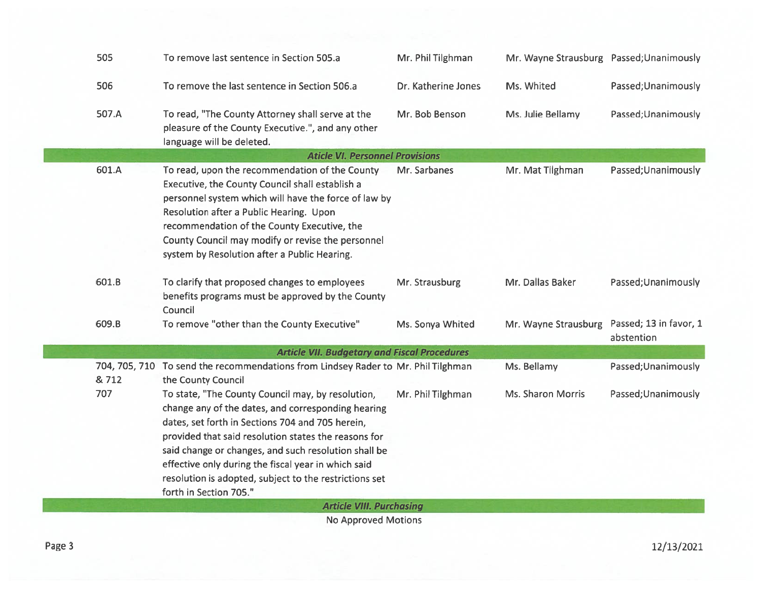| 505   | To remove last sentence in Section 505.a                                                                                                                                                                                                                                                                                                                                                                               | Mr. Phil Tilghman   | Mr. Wayne Strausburg Passed; Unanimously |                                      |
|-------|------------------------------------------------------------------------------------------------------------------------------------------------------------------------------------------------------------------------------------------------------------------------------------------------------------------------------------------------------------------------------------------------------------------------|---------------------|------------------------------------------|--------------------------------------|
| 506   | To remove the last sentence in Section 506.a                                                                                                                                                                                                                                                                                                                                                                           | Dr. Katherine Jones | Ms. Whited                               | Passed; Unanimously                  |
| 507.A | To read, "The County Attorney shall serve at the<br>pleasure of the County Executive.", and any other<br>language will be deleted.                                                                                                                                                                                                                                                                                     | Mr. Bob Benson      | Ms. Julie Bellamy                        | Passed; Unanimously                  |
|       | <b>Aticle VI. Personnel Provisions</b>                                                                                                                                                                                                                                                                                                                                                                                 |                     |                                          |                                      |
| 601.A | To read, upon the recommendation of the County<br>Executive, the County Council shall establish a<br>personnel system which will have the force of law by<br>Resolution after a Public Hearing. Upon<br>recommendation of the County Executive, the<br>County Council may modify or revise the personnel<br>system by Resolution after a Public Hearing.                                                               | Mr. Sarbanes        | Mr. Mat Tilghman                         | Passed; Unanimously                  |
| 601.B | To clarify that proposed changes to employees<br>benefits programs must be approved by the County<br>Council                                                                                                                                                                                                                                                                                                           | Mr. Strausburg      | Mr. Dallas Baker                         | Passed; Unanimously                  |
| 609.B | To remove "other than the County Executive"                                                                                                                                                                                                                                                                                                                                                                            | Ms. Sonya Whited    | Mr. Wayne Strausburg                     | Passed; 13 in favor, 1<br>abstention |
|       | <b>Article VII. Budgetary and Fiscal Procedures</b>                                                                                                                                                                                                                                                                                                                                                                    |                     |                                          |                                      |
| & 712 | 704, 705, 710 To send the recommendations from Lindsey Rader to Mr. Phil Tilghman<br>the County Council                                                                                                                                                                                                                                                                                                                |                     | Ms. Bellamy                              | Passed; Unanimously                  |
| 707   | To state, "The County Council may, by resolution,<br>change any of the dates, and corresponding hearing<br>dates, set forth in Sections 704 and 705 herein,<br>provided that said resolution states the reasons for<br>said change or changes, and such resolution shall be<br>effective only during the fiscal year in which said<br>resolution is adopted, subject to the restrictions set<br>forth in Section 705." | Mr. Phil Tilghman   | Ms. Sharon Morris                        | Passed; Unanimously                  |
|       | <b>Article VIII. Purchasing</b>                                                                                                                                                                                                                                                                                                                                                                                        |                     |                                          |                                      |
|       | Na Anneninal Matinna                                                                                                                                                                                                                                                                                                                                                                                                   |                     |                                          |                                      |

No Approved Motions